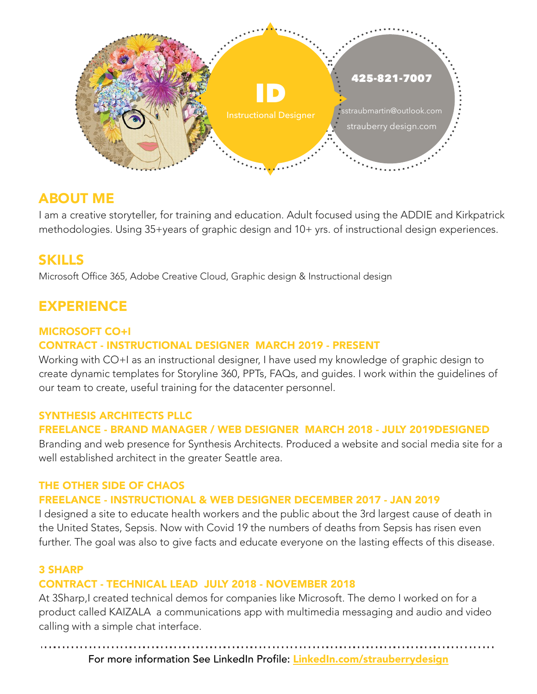

## ABOUT ME

I am a creative storyteller, for training and education. Adult focused using the ADDIE and Kirkpatrick methodologies. Using 35+years of graphic design and 10+ yrs. of instructional design experiences.

# SKILLS

Microsoft Office 365, Adobe Creative Cloud, Graphic design & Instructional design

# EXPERIENCE

## MICROSOFT CO+I

## CONTRACT - INSTRUCTIONAL DESIGNER MARCH 2019 - PRESENT

Working with CO+I as an instructional designer, I have used my knowledge of graphic design to create dynamic templates for Storyline 360, PPTs, FAQs, and guides. I work within the guidelines of our team to create, useful training for the datacenter personnel.

## SYNTHESIS ARCHITECTS PLLC

## FREELANCE - BRAND MANAGER / WEB DESIGNER MARCH 2018 - JULY 2019DESIGNED

Branding and web presence for Synthesis Architects. Produced a website and social media site for a well established architect in the greater Seattle area.

#### THE OTHER SIDE OF CHAOS

#### FREELANCE - INSTRUCTIONAL & WEB DESIGNER DECEMBER 2017 - JAN 2019

I designed a site to educate health workers and the public about the 3rd largest cause of death in the United States, Sepsis. Now with Covid 19 the numbers of deaths from Sepsis has risen even further. The goal was also to give facts and educate everyone on the lasting effects of this disease.

## 3 SHARP

#### CONTRACT - TECHNICAL LEAD JULY 2018 - NOVEMBER 2018

At 3Sharp,I created technical demos for companies like Microsoft. The demo I worked on for a product called KAIZALA a communications app with multimedia messaging and audio and video calling with a simple chat interface.

For more information See LinkedIn Profile: [LinkedIn.com/strauberrydesign](http://LinkedIn.com/strauberrydesign)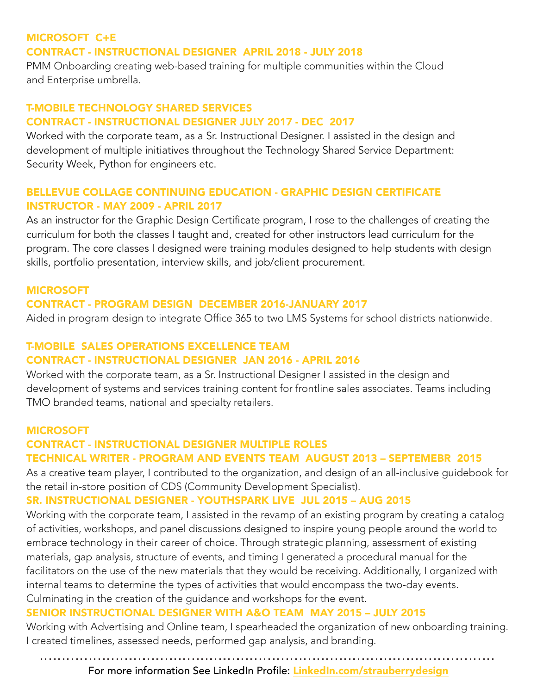## MICROSOFT C+E CONTRACT - INSTRUCTIONAL DESIGNER APRIL 2018 - JULY 2018

PMM Onboarding creating web-based training for multiple communities within the Cloud and Enterprise umbrella.

## T-MOBILE TECHNOLOGY SHARED SERVICES CONTRACT - INSTRUCTIONAL DESIGNER JULY 2017 - DEC 2017

Worked with the corporate team, as a Sr. Instructional Designer. I assisted in the design and development of multiple initiatives throughout the Technology Shared Service Department: Security Week, Python for engineers etc.

#### BELLEVUE COLLAGE CONTINUING EDUCATION - GRAPHIC DESIGN CERTIFICATE INSTRUCTOR - MAY 2009 - APRIL 2017

As an instructor for the Graphic Design Certificate program, I rose to the challenges of creating the curriculum for both the classes I taught and, created for other instructors lead curriculum for the program. The core classes I designed were training modules designed to help students with design skills, portfolio presentation, interview skills, and job/client procurement.

#### MICROSOFT

#### CONTRACT - PROGRAM DESIGN DECEMBER 2016-JANUARY 2017

Aided in program design to integrate Office 365 to two LMS Systems for school districts nationwide.

## T-MOBILE SALES OPERATIONS EXCELLENCE TEAM CONTRACT - INSTRUCTIONAL DESIGNER JAN 2016 - APRIL 2016

Worked with the corporate team, as a Sr. Instructional Designer I assisted in the design and development of systems and services training content for frontline sales associates. Teams including TMO branded teams, national and specialty retailers.

#### MICROSOFT

#### CONTRACT - INSTRUCTIONAL DESIGNER MULTIPLE ROLES TECHNICAL WRITER - PROGRAM AND EVENTS TEAM AUGUST 2013 – SEPTEMEBR 2015

As a creative team player, I contributed to the organization, and design of an all-inclusive guidebook for the retail in-store position of CDS (Community Development Specialist).

## SR. INSTRUCTIONAL DESIGNER - YOUTHSPARK LIVE JUL 2015 – AUG 2015

Working with the corporate team, I assisted in the revamp of an existing program by creating a catalog of activities, workshops, and panel discussions designed to inspire young people around the world to embrace technology in their career of choice. Through strategic planning, assessment of existing materials, gap analysis, structure of events, and timing I generated a procedural manual for the facilitators on the use of the new materials that they would be receiving. Additionally, I organized with internal teams to determine the types of activities that would encompass the two-day events. Culminating in the creation of the guidance and workshops for the event.

## SENIOR INSTRUCTIONAL DESIGNER WITH A&O TEAM MAY 2015 – JULY 2015

Working with Advertising and Online team, I spearheaded the organization of new onboarding training. I created timelines, assessed needs, performed gap analysis, and branding.

## For more information See LinkedIn Profile: [LinkedIn.com/strauberrydesign](http://LinkedIn.com/strauberrydesign)